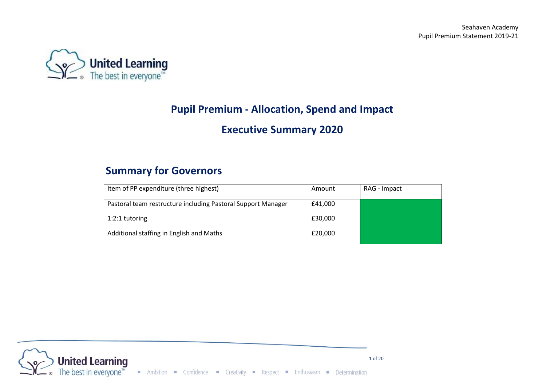

# **Pupil Premium - Allocation, Spend and Impact**

## **Executive Summary 2020**

## **Summary for Governors**

| Item of PP expenditure (three highest)                       | Amount  | RAG - Impact |
|--------------------------------------------------------------|---------|--------------|
| Pastoral team restructure including Pastoral Support Manager | £41,000 |              |
| $1:2:1$ tutoring                                             | £30,000 |              |
| Additional staffing in English and Maths                     | £20,000 |              |

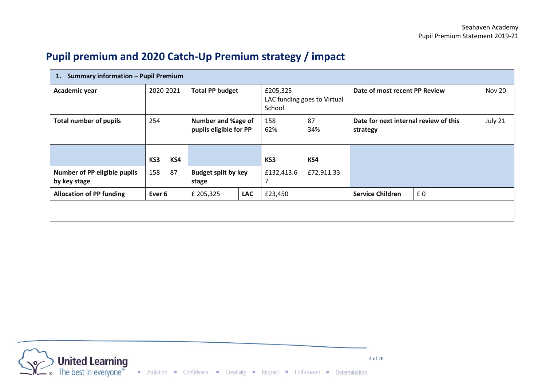# **Pupil premium and 2020 Catch-Up Premium strategy / impact**

| Summary information - Pupil Premium<br>1.    |                   |     |                                                     |            |                    |                             |                                                   |    |               |
|----------------------------------------------|-------------------|-----|-----------------------------------------------------|------------|--------------------|-----------------------------|---------------------------------------------------|----|---------------|
| Academic year                                | 2020-2021         |     | <b>Total PP budget</b>                              |            | £205,325<br>School | LAC funding goes to Virtual | Date of most recent PP Review                     |    | <b>Nov 20</b> |
| <b>Total number of pupils</b>                | 254               |     | <b>Number and %age of</b><br>pupils eligible for PP |            | 158<br>62%         | 87<br>34%                   | Date for next internal review of this<br>strategy |    | July 21       |
|                                              | KS3               | KS4 |                                                     |            | KS3                | KS4                         |                                                   |    |               |
| Number of PP eligible pupils<br>by key stage | 158               | 87  | <b>Budget split by key</b><br>stage                 |            | £132,413.6<br>7    | £72,911.33                  |                                                   |    |               |
| <b>Allocation of PP funding</b>              | Ever <sub>6</sub> |     | £ 205,325                                           | <b>LAC</b> | £23,450            |                             | <b>Service Children</b>                           | £0 |               |
|                                              |                   |     |                                                     |            |                    |                             |                                                   |    |               |

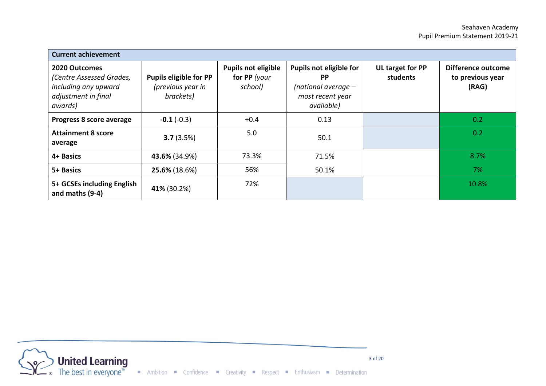| <b>Current achievement</b>                                                                          |                                                                 |                                                       |                                                                                                 |                              |                                                 |
|-----------------------------------------------------------------------------------------------------|-----------------------------------------------------------------|-------------------------------------------------------|-------------------------------------------------------------------------------------------------|------------------------------|-------------------------------------------------|
| 2020 Outcomes<br>(Centre Assessed Grades,<br>including any upward<br>adjustment in final<br>awards) | <b>Pupils eligible for PP</b><br>(previous year in<br>brackets) | <b>Pupils not eligible</b><br>for PP (your<br>school) | Pupils not eligible for<br><b>PP</b><br>(national average $-$<br>most recent year<br>available) | UL target for PP<br>students | Difference outcome<br>to previous year<br>(RAG) |
| Progress 8 score average                                                                            | $-0.1(-0.3)$                                                    | $+0.4$                                                | 0.13                                                                                            |                              | 0.2                                             |
| <b>Attainment 8 score</b><br>average                                                                | 3.7(3.5%)                                                       | 5.0                                                   | 50.1                                                                                            |                              | 0.2                                             |
| 4+ Basics                                                                                           | 43.6% (34.9%)                                                   | 73.3%                                                 | 71.5%                                                                                           |                              | 8.7%                                            |
| 5+ Basics                                                                                           | 25.6% (18.6%)                                                   | 56%                                                   | 50.1%                                                                                           |                              | 7%                                              |
| 5+ GCSEs including English<br>and maths (9-4)                                                       | 41% (30.2%)                                                     | 72%                                                   |                                                                                                 |                              | 10.8%                                           |

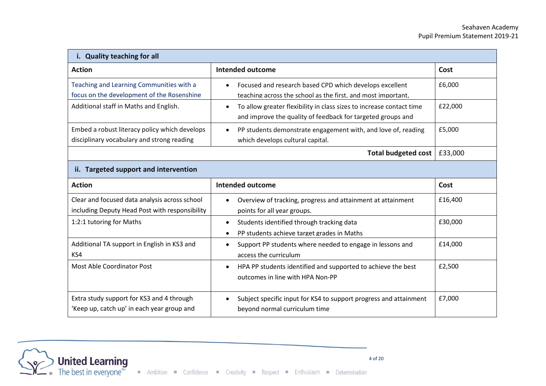| i. Quality teaching for all                                                                     |                                                                                                                                                  |         |  |  |
|-------------------------------------------------------------------------------------------------|--------------------------------------------------------------------------------------------------------------------------------------------------|---------|--|--|
| <b>Action</b>                                                                                   | <b>Intended outcome</b>                                                                                                                          | Cost    |  |  |
| Teaching and Learning Communities with a<br>focus on the development of the Rosenshine          | Focused and research based CPD which develops excellent<br>teaching across the school as the first, and most important,                          | £6,000  |  |  |
| Additional staff in Maths and English.                                                          | To allow greater flexibility in class sizes to increase contact time<br>$\bullet$<br>and improve the quality of feedback for targeted groups and | £22,000 |  |  |
| Embed a robust literacy policy which develops<br>disciplinary vocabulary and strong reading     | PP students demonstrate engagement with, and love of, reading<br>$\bullet$<br>which develops cultural capital.                                   | £5,000  |  |  |
|                                                                                                 | <b>Total budgeted cost</b>                                                                                                                       | £33,000 |  |  |
| ii. Targeted support and intervention                                                           |                                                                                                                                                  |         |  |  |
| <b>Action</b>                                                                                   | <b>Intended outcome</b>                                                                                                                          | Cost    |  |  |
| Clear and focused data analysis across school<br>including Deputy Head Post with responsibility | Overview of tracking, progress and attainment at attainment<br>points for all year groups.                                                       | £16,400 |  |  |
| 1:2:1 tutoring for Maths                                                                        | Students identified through tracking data<br>$\bullet$<br>PP students achieve target grades in Maths<br>$\bullet$                                | £30,000 |  |  |
| Additional TA support in English in KS3 and<br>KS4                                              | Support PP students where needed to engage in lessons and<br>$\bullet$<br>access the curriculum                                                  | £14,000 |  |  |
| Most Able Coordinator Post                                                                      | HPA PP students identified and supported to achieve the best<br>$\bullet$<br>outcomes in line with HPA Non-PP                                    | £2,500  |  |  |
| Extra study support for KS3 and 4 through<br>'Keep up, catch up' in each year group and         | Subject specific input for KS4 to support progress and attainment<br>$\bullet$<br>beyond normal curriculum time                                  | £7,000  |  |  |

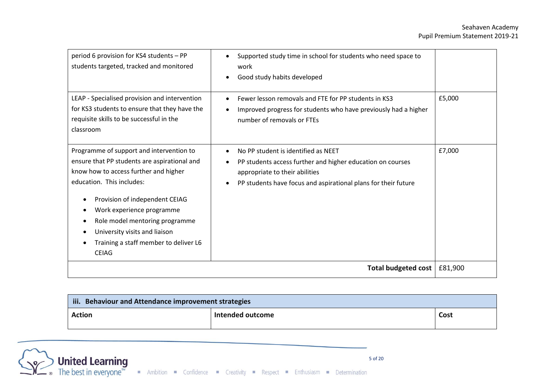| period 6 provision for KS4 students - PP<br>students targeted, tracked and monitored                                                                                                                                                                                                                                                                      | Supported study time in school for students who need space to<br>work<br>Good study habits developed                                                                                                  |         |
|-----------------------------------------------------------------------------------------------------------------------------------------------------------------------------------------------------------------------------------------------------------------------------------------------------------------------------------------------------------|-------------------------------------------------------------------------------------------------------------------------------------------------------------------------------------------------------|---------|
| LEAP - Specialised provision and intervention<br>for KS3 students to ensure that they have the<br>requisite skills to be successful in the<br>classroom                                                                                                                                                                                                   | Fewer lesson removals and FTE for PP students in KS3<br>Improved progress for students who have previously had a higher<br>number of removals or FTEs                                                 | £5,000  |
| Programme of support and intervention to<br>ensure that PP students are aspirational and<br>know how to access further and higher<br>education. This includes:<br>Provision of independent CEIAG<br>Work experience programme<br>Role model mentoring programme<br>University visits and liaison<br>Training a staff member to deliver L6<br><b>CEIAG</b> | No PP student is identified as NEET<br>PP students access further and higher education on courses<br>appropriate to their abilities<br>PP students have focus and aspirational plans for their future | £7,000  |
|                                                                                                                                                                                                                                                                                                                                                           | Total budgeted cost                                                                                                                                                                                   | £81,900 |

| iii.<br><b>Behaviour and Attendance improvement strategies</b> |                  |      |  |
|----------------------------------------------------------------|------------------|------|--|
| <b>Action</b>                                                  | Intended outcome | Cost |  |

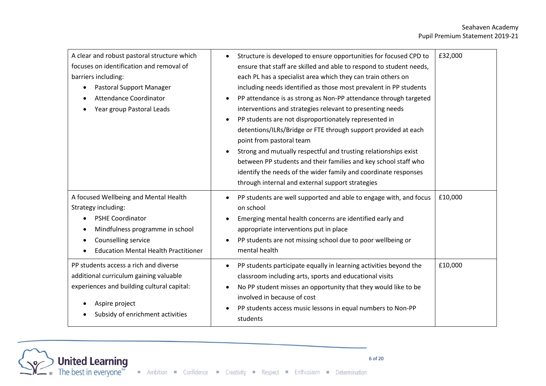#### Seahaven Academy Pupil Premium Statement 2019-21

| A clear and robust pastoral structure which<br>focuses on identification and removal of<br>barriers including:<br>Pastoral Support Manager<br>Attendance Coordinator<br>Year group Pastoral Leads                                       | Structure is developed to ensure opportunities for focused CPD to<br>ensure that staff are skilled and able to respond to student needs,<br>each PL has a specialist area which they can train others on<br>including needs identified as those most prevalent in PP students<br>PP attendance is as strong as Non-PP attendance through targeted<br>interventions and strategies relevant to presenting needs<br>PP students are not disproportionately represented in<br>$\bullet$<br>detentions/ILRs/Bridge or FTE through support provided at each<br>point from pastoral team<br>Strong and mutually respectful and trusting relationships exist<br>between PP students and their families and key school staff who<br>identify the needs of the wider family and coordinate responses<br>through internal and external support strategies | £32,000 |
|-----------------------------------------------------------------------------------------------------------------------------------------------------------------------------------------------------------------------------------------|-------------------------------------------------------------------------------------------------------------------------------------------------------------------------------------------------------------------------------------------------------------------------------------------------------------------------------------------------------------------------------------------------------------------------------------------------------------------------------------------------------------------------------------------------------------------------------------------------------------------------------------------------------------------------------------------------------------------------------------------------------------------------------------------------------------------------------------------------|---------|
| A focused Wellbeing and Mental Health<br>Strategy including:<br><b>PSHE Coordinator</b><br>$\bullet$<br>Mindfulness programme in school<br>$\bullet$<br>Counselling service<br>$\bullet$<br><b>Education Mental Health Practitioner</b> | PP students are well supported and able to engage with, and focus<br>on school<br>Emerging mental health concerns are identified early and<br>appropriate interventions put in place<br>PP students are not missing school due to poor wellbeing or<br>mental health                                                                                                                                                                                                                                                                                                                                                                                                                                                                                                                                                                            | £10,000 |
| PP students access a rich and diverse<br>additional curriculum gaining valuable<br>experiences and building cultural capital:<br>Aspire project<br>Subsidy of enrichment activities                                                     | PP students participate equally in learning activities beyond the<br>classroom including arts, sports and educational visits<br>No PP student misses an opportunity that they would like to be<br>involved in because of cost<br>PP students access music lessons in equal numbers to Non-PP<br>students                                                                                                                                                                                                                                                                                                                                                                                                                                                                                                                                        | £10,000 |

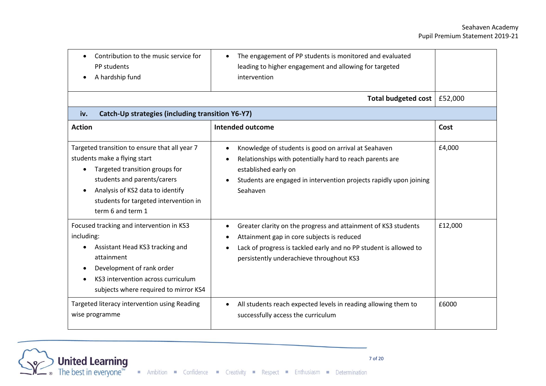| Contribution to the music service for<br>PP students<br>A hardship fund                                                                                                                                                                          | The engagement of PP students is monitored and evaluated<br>leading to higher engagement and allowing for targeted<br>intervention                                                                                            |         |
|--------------------------------------------------------------------------------------------------------------------------------------------------------------------------------------------------------------------------------------------------|-------------------------------------------------------------------------------------------------------------------------------------------------------------------------------------------------------------------------------|---------|
|                                                                                                                                                                                                                                                  | Total budgeted cost                                                                                                                                                                                                           | £52,000 |
| Catch-Up strategies (including transition Y6-Y7)<br>iv.                                                                                                                                                                                          |                                                                                                                                                                                                                               |         |
| <b>Action</b>                                                                                                                                                                                                                                    | <b>Intended outcome</b>                                                                                                                                                                                                       | Cost    |
| Targeted transition to ensure that all year 7<br>students make a flying start<br>Targeted transition groups for<br>students and parents/carers<br>Analysis of KS2 data to identify<br>students for targeted intervention in<br>term 6 and term 1 | Knowledge of students is good on arrival at Seahaven<br>Relationships with potentially hard to reach parents are<br>established early on<br>Students are engaged in intervention projects rapidly upon joining<br>Seahaven    | £4,000  |
| Focused tracking and intervention in KS3<br>including:<br>Assistant Head KS3 tracking and<br>attainment<br>Development of rank order<br>KS3 intervention across curriculum<br>subjects where required to mirror KS4                              | Greater clarity on the progress and attainment of KS3 students<br>Attainment gap in core subjects is reduced<br>Lack of progress is tackled early and no PP student is allowed to<br>persistently underachieve throughout KS3 | £12,000 |
| Targeted literacy intervention using Reading<br>wise programme                                                                                                                                                                                   | All students reach expected levels in reading allowing them to<br>successfully access the curriculum                                                                                                                          | £6000   |

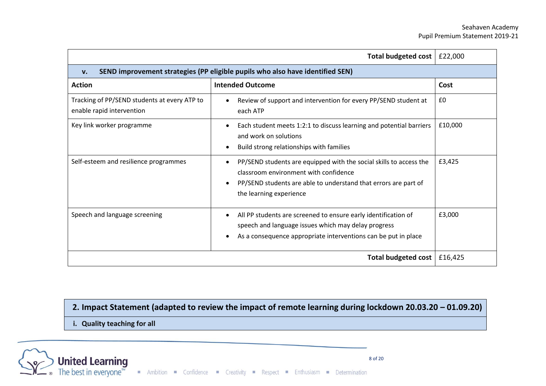#### Seahaven Academy Pupil Premium Statement 2019-21

|                                                                           | Total budgeted cost   £22,000                                                                                                                                                                             |         |
|---------------------------------------------------------------------------|-----------------------------------------------------------------------------------------------------------------------------------------------------------------------------------------------------------|---------|
| V <sub>1</sub>                                                            | SEND improvement strategies (PP eligible pupils who also have identified SEN)                                                                                                                             |         |
| <b>Action</b>                                                             | <b>Intended Outcome</b>                                                                                                                                                                                   | Cost    |
| Tracking of PP/SEND students at every ATP to<br>enable rapid intervention | Review of support and intervention for every PP/SEND student at<br>each ATP                                                                                                                               | £0      |
| Key link worker programme                                                 | Each student meets 1:2:1 to discuss learning and potential barriers<br>and work on solutions<br>Build strong relationships with families                                                                  | £10,000 |
| Self-esteem and resilience programmes                                     | PP/SEND students are equipped with the social skills to access the<br>classroom environment with confidence<br>PP/SEND students are able to understand that errors are part of<br>the learning experience | £3,425  |
| Speech and language screening                                             | All PP students are screened to ensure early identification of<br>speech and language issues which may delay progress<br>As a consequence appropriate interventions can be put in place                   | £3,000  |
|                                                                           | Total budgeted cost                                                                                                                                                                                       | £16,425 |

**2. Impact Statement (adapted to review the impact of remote learning during lockdown 20.03.20 – 01.09.20)**

**i. Quality teaching for all**

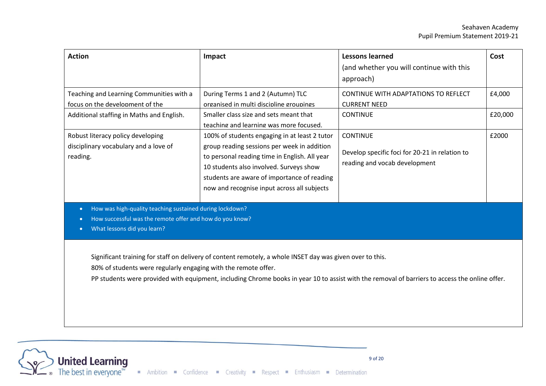| <b>Action</b>                                                                                                                                                    | Impact                                                                                                                                                                                                                                                                                 | <b>Lessons learned</b><br>(and whether you will continue with this<br>approach)                                                                | Cost              |
|------------------------------------------------------------------------------------------------------------------------------------------------------------------|----------------------------------------------------------------------------------------------------------------------------------------------------------------------------------------------------------------------------------------------------------------------------------------|------------------------------------------------------------------------------------------------------------------------------------------------|-------------------|
| Teaching and Learning Communities with a<br>focus on the development of the<br>Additional staffing in Maths and English.                                         | During Terms 1 and 2 (Autumn) TLC<br>organised in multi discipline groupings<br>Smaller class size and sets meant that<br>teaching and learning was more focused.                                                                                                                      | CONTINUE WITH ADAPTATIONS TO REFLECT<br><b>CURRENT NEED</b><br><b>CONTINUE</b>                                                                 | £4,000<br>£20,000 |
| Robust literacy policy developing<br>disciplinary vocabulary and a love of<br>reading.                                                                           | 100% of students engaging in at least 2 tutor<br>group reading sessions per week in addition<br>to personal reading time in English. All year<br>10 students also involved. Surveys show<br>students are aware of importance of reading<br>now and recognise input across all subjects | <b>CONTINUE</b><br>Develop specific foci for 20-21 in relation to<br>reading and vocab development                                             | £2000             |
| How was high-quality teaching sustained during lockdown?<br>$\bullet$<br>How successful was the remote offer and how do you know?<br>What lessons did you learn? |                                                                                                                                                                                                                                                                                        |                                                                                                                                                |                   |
| 80% of students were regularly engaging with the remote offer.                                                                                                   | Significant training for staff on delivery of content remotely, a whole INSET day was given over to this.                                                                                                                                                                              | PP students were provided with equipment, including Chrome books in year 10 to assist with the removal of barriers to access the online offer. |                   |

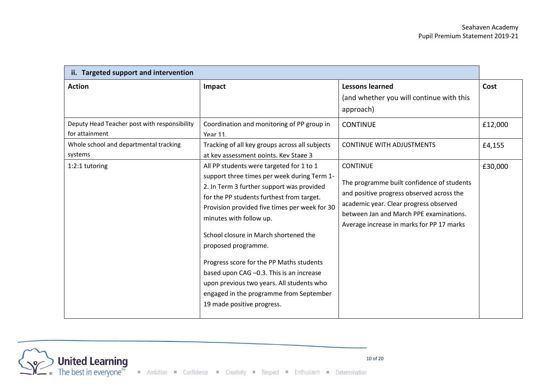| ii. Targeted support and intervention                                           |                                                                                                                                                                                                                                                                                                                                                                                                                                                                                                                                             |                                                                                                                                                                                                                                              |                 |
|---------------------------------------------------------------------------------|---------------------------------------------------------------------------------------------------------------------------------------------------------------------------------------------------------------------------------------------------------------------------------------------------------------------------------------------------------------------------------------------------------------------------------------------------------------------------------------------------------------------------------------------|----------------------------------------------------------------------------------------------------------------------------------------------------------------------------------------------------------------------------------------------|-----------------|
| <b>Action</b><br>Deputy Head Teacher post with responsibility<br>for attainment | Impact<br>Coordination and monitoring of PP group in<br><b>Year 11.</b>                                                                                                                                                                                                                                                                                                                                                                                                                                                                     | <b>Lessons learned</b><br>(and whether you will continue with this<br>approach)<br><b>CONTINUE</b>                                                                                                                                           | Cost<br>£12,000 |
| Whole school and departmental tracking<br>systems                               | Tracking of all key groups across all subjects<br>at kev assessment points. Kev Stage 3                                                                                                                                                                                                                                                                                                                                                                                                                                                     | <b>CONTINUE WITH ADJUSTMENTS</b>                                                                                                                                                                                                             | £4,155          |
| 1:2:1 tutoring                                                                  | All PP students were targeted for 1 to 1<br>support three times per week during Term 1-<br>2. In Term 3 further support was provided<br>for the PP students furthest from target.<br>Provision provided five times per week for 30<br>minutes with follow up.<br>School closure in March shortened the<br>proposed programme.<br>Progress score for the PP Maths students<br>based upon CAG -0.3. This is an increase<br>upon previous two years. All students who<br>engaged in the programme from September<br>19 made positive progress. | <b>CONTINUE</b><br>The programme built confidence of students<br>and positive progress observed across the<br>academic year. Clear progress observed<br>between Jan and March PPE examinations.<br>Average increase in marks for PP 17 marks | £30,000         |

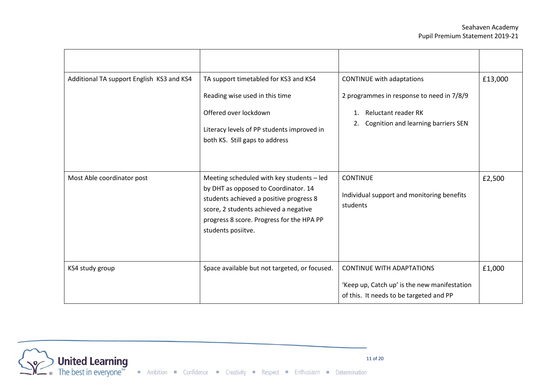| Additional TA support English KS3 and KS4 | TA support timetabled for KS3 and KS4<br>Reading wise used in this time<br>Offered over lockdown<br>Literacy levels of PP students improved in<br>both KS. Still gaps to address                                                         | CONTINUE with adaptations<br>2 programmes in response to need in 7/8/9<br><b>Reluctant reader RK</b><br>1.<br>Cognition and learning barriers SEN<br>2. | £13,000 |
|-------------------------------------------|------------------------------------------------------------------------------------------------------------------------------------------------------------------------------------------------------------------------------------------|---------------------------------------------------------------------------------------------------------------------------------------------------------|---------|
| Most Able coordinator post                | Meeting scheduled with key students - led<br>by DHT as opposed to Coordinator. 14<br>students achieved a positive progress 8<br>score, 2 students achieved a negative<br>progress 8 score. Progress for the HPA PP<br>students posiitve. | <b>CONTINUE</b><br>Individual support and monitoring benefits<br>students                                                                               | £2,500  |
| KS4 study group                           | Space available but not targeted, or focused.                                                                                                                                                                                            | <b>CONTINUE WITH ADAPTATIONS</b><br>'Keep up, Catch up' is the new manifestation<br>of this. It needs to be targeted and PP                             | £1,000  |

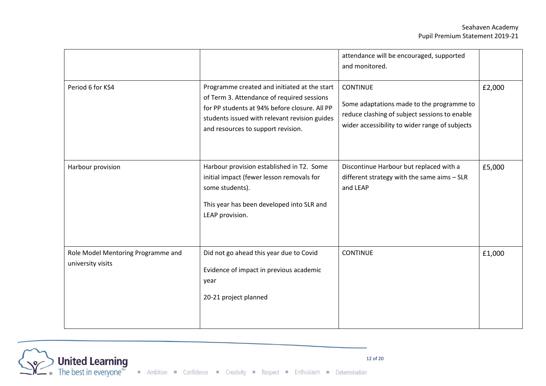|                                                         |                                                                                                                                                                                                                                    | attendance will be encouraged, supported<br>and monitored.                                                                                                      |        |
|---------------------------------------------------------|------------------------------------------------------------------------------------------------------------------------------------------------------------------------------------------------------------------------------------|-----------------------------------------------------------------------------------------------------------------------------------------------------------------|--------|
| Period 6 for KS4                                        | Programme created and initiated at the start<br>of Term 3. Attendance of required sessions<br>for PP students at 94% before closure. All PP<br>students issued with relevant revision guides<br>and resources to support revision. | <b>CONTINUE</b><br>Some adaptations made to the programme to<br>reduce clashing of subject sessions to enable<br>wider accessibility to wider range of subjects | £2,000 |
| Harbour provision                                       | Harbour provision established in T2. Some<br>initial impact (fewer lesson removals for<br>some students).<br>This year has been developed into SLR and<br>LEAP provision.                                                          | Discontinue Harbour but replaced with a<br>different strategy with the same aims - SLR<br>and LEAP                                                              | £5,000 |
| Role Model Mentoring Programme and<br>university visits | Did not go ahead this year due to Covid<br>Evidence of impact in previous academic<br>year<br>20-21 project planned                                                                                                                | <b>CONTINUE</b>                                                                                                                                                 | £1,000 |

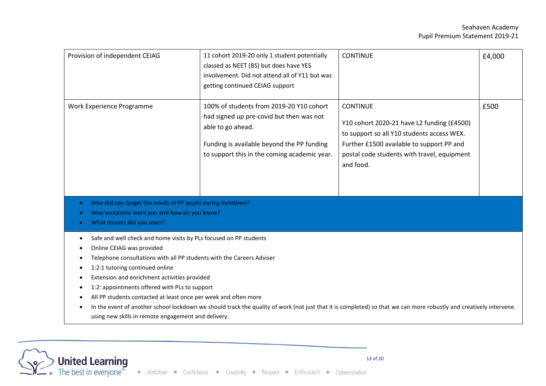| Provision of independent CEIAG                                                                                                                                                                                                                                                                                                                                                                                                                                                                                                                                                                                               | 11 cohort 2019-20 only 1 student potentially<br>classed as NEET (BS) but does have YES<br>involvement. Did not attend all of Y11 but was<br>getting continued CEIAG support                             | <b>CONTINUE</b>                                                                                                                                                                                                      | £4,000 |
|------------------------------------------------------------------------------------------------------------------------------------------------------------------------------------------------------------------------------------------------------------------------------------------------------------------------------------------------------------------------------------------------------------------------------------------------------------------------------------------------------------------------------------------------------------------------------------------------------------------------------|---------------------------------------------------------------------------------------------------------------------------------------------------------------------------------------------------------|----------------------------------------------------------------------------------------------------------------------------------------------------------------------------------------------------------------------|--------|
| Work Experience Programme                                                                                                                                                                                                                                                                                                                                                                                                                                                                                                                                                                                                    | 100% of students from 2019-20 Y10 cohort<br>had signed up pre-covid but then was not<br>able to go ahead.<br>Funding is available beyond the PP funding<br>to support this in the coming academic year. | <b>CONTINUE</b><br>Y10 cohort 2020-21 have L2 funding (£4500)<br>to support so all Y10 students access WEX.<br>Further £1500 available to support PP and<br>postal code students with travel, equipment<br>and food. | £500   |
| How did you target the needs of PP pupils during lockdown?<br>How successful were you and how do you know?<br>What lessons did you learn?                                                                                                                                                                                                                                                                                                                                                                                                                                                                                    |                                                                                                                                                                                                         |                                                                                                                                                                                                                      |        |
| Safe and well check and home visits by PLs focused on PP students<br>Online CEIAG was provided<br>Telephone consultations with all PP students with the Careers Adviser<br>1:2:1 tutoring continued online<br>Extension and enrichment activities provided<br>1:2: appointments offered with PLs to support<br>$\bullet$<br>All PP students contacted at least once per week and often more<br>٠<br>In the event of another school lockdown we should track the quality of work (not just that it is completed) so that we can more robustly and creatively intervene<br>using new skills in remote engagement and delivery. |                                                                                                                                                                                                         |                                                                                                                                                                                                                      |        |

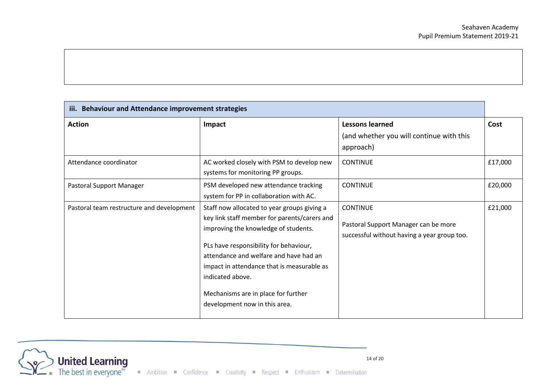| iii. Behaviour and Attendance improvement strategies |                                                                                                                                                                                                                                                                                                                                                                   |                                                                                                        |         |
|------------------------------------------------------|-------------------------------------------------------------------------------------------------------------------------------------------------------------------------------------------------------------------------------------------------------------------------------------------------------------------------------------------------------------------|--------------------------------------------------------------------------------------------------------|---------|
| <b>Action</b>                                        | Impact                                                                                                                                                                                                                                                                                                                                                            | <b>Lessons learned</b><br>(and whether you will continue with this<br>approach)                        | Cost    |
| Attendance coordinator                               | AC worked closely with PSM to develop new<br>systems for monitoring PP groups.                                                                                                                                                                                                                                                                                    | <b>CONTINUE</b>                                                                                        | £17,000 |
| Pastoral Support Manager                             | PSM developed new attendance tracking<br>system for PP in collaboration with AC.                                                                                                                                                                                                                                                                                  | <b>CONTINUE</b>                                                                                        | £20,000 |
| Pastoral team restructure and development            | Staff now allocated to year groups giving a<br>key link staff member for parents/carers and<br>improving the knowledge of students.<br>PLs have responsibility for behaviour,<br>attendance and welfare and have had an<br>impact in attendance that is measurable as<br>indicated above.<br>Mechanisms are in place for further<br>development now in this area. | <b>CONTINUE</b><br>Pastoral Support Manager can be more<br>successful without having a year group too. | £21,000 |

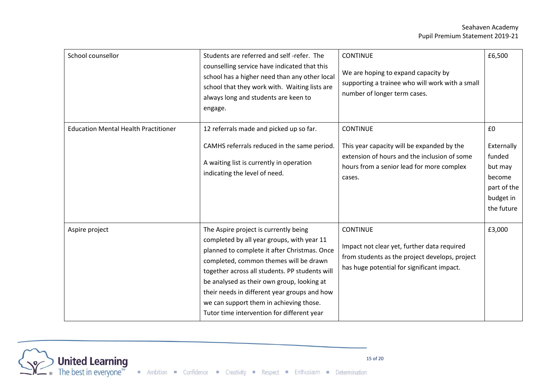| School counsellor                           | Students are referred and self-refer. The<br>counselling service have indicated that this<br>school has a higher need than any other local<br>school that they work with. Waiting lists are<br>always long and students are keen to<br>engage.                                                                                                                                                                         | <b>CONTINUE</b><br>We are hoping to expand capacity by<br>supporting a trainee who will work with a small<br>number of longer term cases.                            | £6,500                                                                                    |
|---------------------------------------------|------------------------------------------------------------------------------------------------------------------------------------------------------------------------------------------------------------------------------------------------------------------------------------------------------------------------------------------------------------------------------------------------------------------------|----------------------------------------------------------------------------------------------------------------------------------------------------------------------|-------------------------------------------------------------------------------------------|
| <b>Education Mental Health Practitioner</b> | 12 referrals made and picked up so far.<br>CAMHS referrals reduced in the same period.<br>A waiting list is currently in operation<br>indicating the level of need.                                                                                                                                                                                                                                                    | <b>CONTINUE</b><br>This year capacity will be expanded by the<br>extension of hours and the inclusion of some<br>hours from a senior lead for more complex<br>cases. | £0<br>Externally<br>funded<br>but may<br>become<br>part of the<br>budget in<br>the future |
| Aspire project                              | The Aspire project is currently being<br>completed by all year groups, with year 11<br>planned to complete it after Christmas. Once<br>completed, common themes will be drawn<br>together across all students. PP students will<br>be analysed as their own group, looking at<br>their needs in different year groups and how<br>we can support them in achieving those.<br>Tutor time intervention for different year | <b>CONTINUE</b><br>Impact not clear yet, further data required<br>from students as the project develops, project<br>has huge potential for significant impact.       | £3,000                                                                                    |

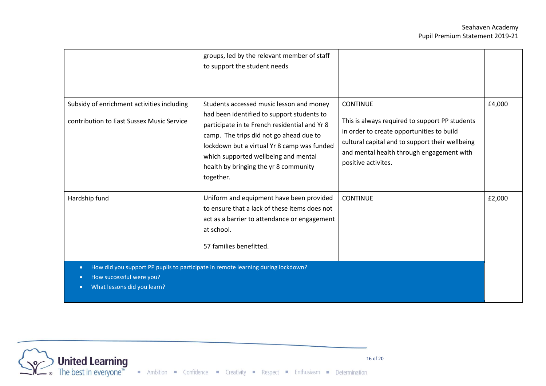|                                                                                                                                                                       | groups, led by the relevant member of staff<br>to support the student needs                                                                                                                                                                                                                                                     |                                                                                                                                                                                                                                       |        |
|-----------------------------------------------------------------------------------------------------------------------------------------------------------------------|---------------------------------------------------------------------------------------------------------------------------------------------------------------------------------------------------------------------------------------------------------------------------------------------------------------------------------|---------------------------------------------------------------------------------------------------------------------------------------------------------------------------------------------------------------------------------------|--------|
| Subsidy of enrichment activities including<br>contribution to East Sussex Music Service                                                                               | Students accessed music lesson and money<br>had been identified to support students to<br>participate in te French residential and Yr 8<br>camp. The trips did not go ahead due to<br>lockdown but a virtual Yr 8 camp was funded<br>which supported wellbeing and mental<br>health by bringing the yr 8 community<br>together. | <b>CONTINUE</b><br>This is always required to support PP students<br>in order to create opportunities to build<br>cultural capital and to support their wellbeing<br>and mental health through engagement with<br>positive activites. | £4,000 |
| Hardship fund                                                                                                                                                         | Uniform and equipment have been provided<br>to ensure that a lack of these items does not<br>act as a barrier to attendance or engagement<br>at school.<br>57 families benefitted.                                                                                                                                              | <b>CONTINUE</b>                                                                                                                                                                                                                       | £2,000 |
| How did you support PP pupils to participate in remote learning during lockdown?<br>$\bullet$<br>How successful were you?<br>What lessons did you learn?<br>$\bullet$ |                                                                                                                                                                                                                                                                                                                                 |                                                                                                                                                                                                                                       |        |

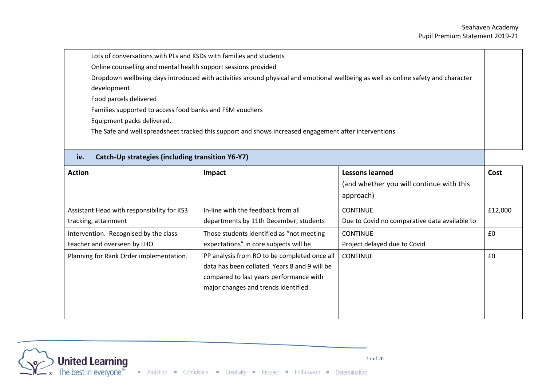| Lots of conversations with PLs and KSDs with families and students                                                                |  |
|-----------------------------------------------------------------------------------------------------------------------------------|--|
| Online counselling and mental health support sessions provided                                                                    |  |
| Dropdown wellbeing days introduced with activities around physical and emotional wellbeing as well as online safety and character |  |
| development                                                                                                                       |  |
| Food parcels delivered                                                                                                            |  |
| Families supported to access food banks and FSM vouchers                                                                          |  |
| Equipment packs delivered.                                                                                                        |  |
| The Safe and well spreadsheet tracked this support and shows increased engagement after interventions                             |  |
|                                                                                                                                   |  |

| Caten Op strategies (melading transition TV T7) |                                               |                                               |         |
|-------------------------------------------------|-----------------------------------------------|-----------------------------------------------|---------|
| <b>Action</b>                                   | Impact                                        | <b>Lessons learned</b>                        | Cost    |
|                                                 |                                               | (and whether you will continue with this      |         |
|                                                 |                                               | approach)                                     |         |
| Assistant Head with responsibility for KS3      | In-line with the feedback from all            | <b>CONTINUE</b>                               | £12,000 |
| tracking, attainment                            | departments by 11th December, students        | Due to Covid no comparative data available to |         |
| Intervention. Recognised by the class           | Those students identified as "not meeting     | <b>CONTINUE</b>                               | £0      |
| teacher and overseen by LHO.                    | expectations" in core subjects will be        | Project delayed due to Covid                  |         |
| Planning for Rank Order implementation.         | PP analysis from RO to be completed once all  | <b>CONTINUE</b>                               | £0      |
|                                                 | data has been collated. Years 8 and 9 will be |                                               |         |
|                                                 | compared to last years performance with       |                                               |         |
|                                                 | major changes and trends identified.          |                                               |         |
|                                                 |                                               |                                               |         |
|                                                 |                                               |                                               |         |
|                                                 |                                               |                                               |         |



**iv. Catch-Up strategies (including transition Y6-Y7)**

do these students perform?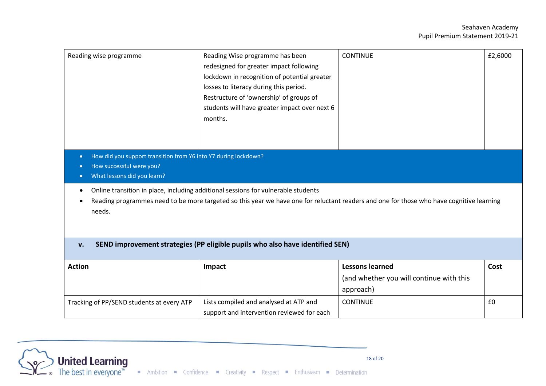| Reading wise programme                                                                                                                                              | Reading Wise programme has been<br>redesigned for greater impact following<br>lockdown in recognition of potential greater<br>losses to literacy during this period.<br>Restructure of 'ownership' of groups of<br>students will have greater impact over next 6<br>months. | <b>CONTINUE</b>                                                                                                                          | £2,6000 |
|---------------------------------------------------------------------------------------------------------------------------------------------------------------------|-----------------------------------------------------------------------------------------------------------------------------------------------------------------------------------------------------------------------------------------------------------------------------|------------------------------------------------------------------------------------------------------------------------------------------|---------|
| How did you support transition from Y6 into Y7 during lockdown?<br>$\bullet$<br>How successful were you?<br>∩<br>What lessons did you learn?<br>$\bullet$<br>needs. | Online transition in place, including additional sessions for vulnerable students                                                                                                                                                                                           | Reading programmes need to be more targeted so this year we have one for reluctant readers and one for those who have cognitive learning |         |
| v.                                                                                                                                                                  | SEND improvement strategies (PP eligible pupils who also have identified SEN)                                                                                                                                                                                               |                                                                                                                                          |         |
| <b>Action</b>                                                                                                                                                       | Impact                                                                                                                                                                                                                                                                      | <b>Lessons learned</b><br>(and whether you will continue with this<br>approach)                                                          | Cost    |
| Tracking of PP/SEND students at every ATP                                                                                                                           | Lists compiled and analysed at ATP and<br>support and intervention reviewed for each                                                                                                                                                                                        | <b>CONTINUE</b>                                                                                                                          | £0      |

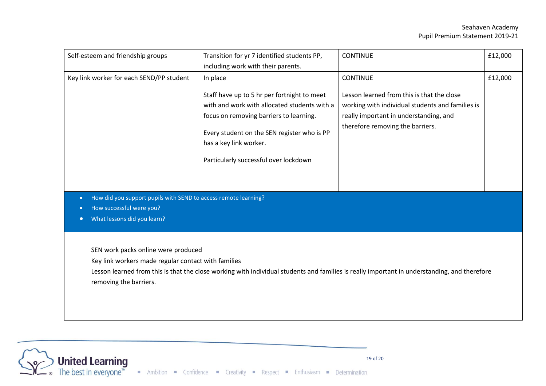#### Seahaven Academy Pupil Premium Statement 2019-21

| Self-esteem and friendship groups                                                                                                                                                                                                                                    | Transition for yr 7 identified students PP,                                                                                                                                                                                                              | <b>CONTINUE</b>                                                                                                                                                              | £12,000 |
|----------------------------------------------------------------------------------------------------------------------------------------------------------------------------------------------------------------------------------------------------------------------|----------------------------------------------------------------------------------------------------------------------------------------------------------------------------------------------------------------------------------------------------------|------------------------------------------------------------------------------------------------------------------------------------------------------------------------------|---------|
|                                                                                                                                                                                                                                                                      | including work with their parents.                                                                                                                                                                                                                       |                                                                                                                                                                              |         |
| Key link worker for each SEND/PP student                                                                                                                                                                                                                             | In place                                                                                                                                                                                                                                                 | <b>CONTINUE</b>                                                                                                                                                              | £12,000 |
|                                                                                                                                                                                                                                                                      | Staff have up to 5 hr per fortnight to meet<br>with and work with allocated students with a<br>focus on removing barriers to learning.<br>Every student on the SEN register who is PP<br>has a key link worker.<br>Particularly successful over lockdown | Lesson learned from this is that the close<br>working with individual students and families is<br>really important in understanding, and<br>therefore removing the barriers. |         |
| How did you support pupils with SEND to access remote learning?<br>$\bullet$                                                                                                                                                                                         |                                                                                                                                                                                                                                                          |                                                                                                                                                                              |         |
| How successful were you?<br>$\bullet$                                                                                                                                                                                                                                |                                                                                                                                                                                                                                                          |                                                                                                                                                                              |         |
| What lessons did you learn?<br>$\bullet$                                                                                                                                                                                                                             |                                                                                                                                                                                                                                                          |                                                                                                                                                                              |         |
| SEN work packs online were produced<br>Key link workers made regular contact with families<br>Lesson learned from this is that the close working with individual students and families is really important in understanding, and therefore<br>removing the barriers. |                                                                                                                                                                                                                                                          |                                                                                                                                                                              |         |